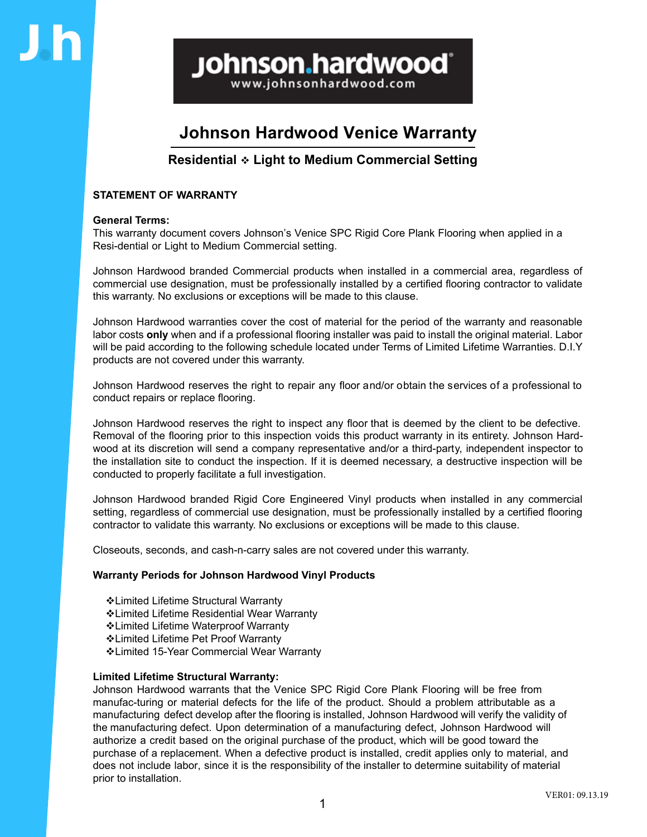**Johnson.hardwood**®

www.johnsonhardwood.com

# **Johnson Hardwood Venice Warranty**

## **Residential Light to Medium Commercial Setting**

### **STATEMENT OF WARRANTY**

### **General Terms:**

This warranty document covers Johnson's Venice SPC Rigid Core Plank Flooring when applied in a Resi-dential or Light to Medium Commercial setting.

Johnson Hardwood branded Commercial products when installed in a commercial area, regardless of commercial use designation, must be professionally installed by a certified flooring contractor to validate this warranty. No exclusions or exceptions will be made to this clause.

Johnson Hardwood warranties cover the cost of material for the period of the warranty and reasonable labor costs **only** when and if a professional flooring installer was paid to install the original material. Labor will be paid according to the following schedule located under Terms of Limited Lifetime Warranties. D.I.Y products are not covered under this warranty.

Johnson Hardwood reserves the right to repair any floor and/or obtain the services of a professional to conduct repairs or replace flooring.

Johnson Hardwood reserves the right to inspect any floor that is deemed by the client to be defective. Removal of the flooring prior to this inspection voids this product warranty in its entirety. Johnson Hardwood at its discretion will send a company representative and/or a third-party, independent inspector to the installation site to conduct the inspection. If it is deemed necessary, a destructive inspection will be conducted to properly facilitate a full investigation.

Johnson Hardwood branded Rigid Core Engineered Vinyl products when installed in any commercial setting, regardless of commercial use designation, must be professionally installed by a certified flooring contractor to validate this warranty. No exclusions or exceptions will be made to this clause.

Closeouts, seconds, and cash-n-carry sales are not covered under this warranty.

### **Warranty Periods for Johnson Hardwood Vinyl Products**

- Limited Lifetime Structural Warranty Limited Lifetime Residential Wear Warranty Limited Lifetime Waterproof Warranty Limited Lifetime Pet Proof Warranty
- Limited 15-Year Commercial Wear Warranty

### **Limited Lifetime Structural Warranty:**

Johnson Hardwood warrants that the Venice SPC Rigid Core Plank Flooring will be free from manufac-turing or material defects for the life of the product. Should a problem attributable as a manufacturing defect develop after the flooring is installed, Johnson Hardwood will verify the validity of the manufacturing defect. Upon determination of a manufacturing defect, Johnson Hardwood will authorize a credit based on the original purchase of the product, which will be good toward the purchase of a replacement. When a defective product is installed, credit applies only to material, and does not include labor, since it is the responsibility of the installer to determine suitability of material prior to installation.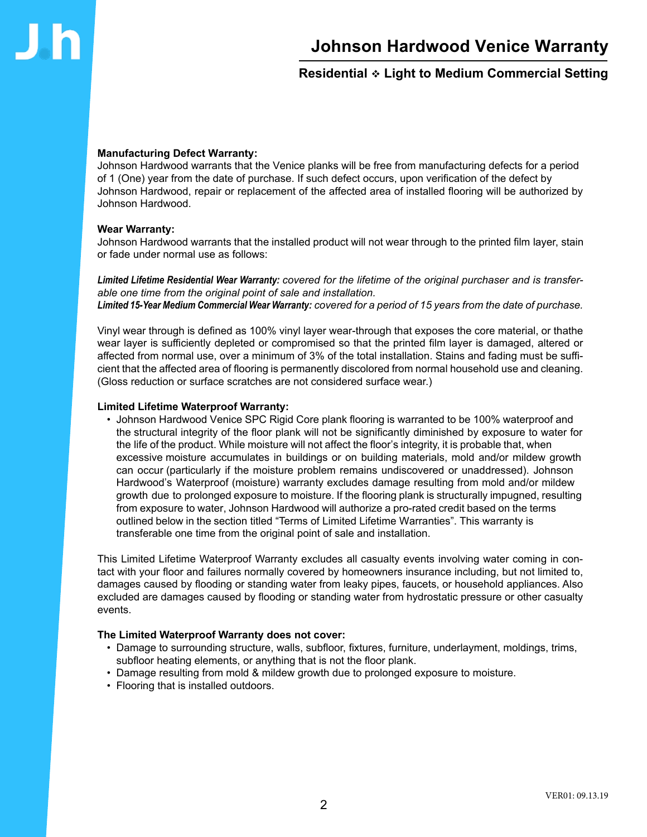## **Residential Light to Medium Commercial Setting**

### **Manufacturing Defect Warranty:**

Johnson Hardwood warrants that the Venice planks will be free from manufacturing defects for a period of 1 (One) year from the date of purchase. If such defect occurs, upon verification of the defect by Johnson Hardwood, repair or replacement of the affected area of installed flooring will be authorized by Johnson Hardwood.

#### **Wear Warranty:**

Johnson Hardwood warrants that the installed product will not wear through to the printed film layer, stain or fade under normal use as follows:

*Limited Lifetime Residential Wear Warranty: covered for the lifetime of the original purchaser and is transferable one time from the original point of sale and installation. Limited 15-Year Medium Commercial Wear Warranty: covered for a period of 15 years from the date of purchase.*

Vinyl wear through is defined as 100% vinyl layer wear-through that exposes the core material, or thathe wear layer is sufficiently depleted or compromised so that the printed film layer is damaged, altered or affected from normal use, over a minimum of 3% of the total installation. Stains and fading must be sufficient that the affected area of flooring is permanently discolored from normal household use and cleaning. (Gloss reduction or surface scratches are not considered surface wear.)

#### **Limited Lifetime Waterproof Warranty:**

• Johnson Hardwood Venice SPC Rigid Core plank flooring is warranted to be 100% waterproof and the structural integrity of the floor plank will not be significantly diminished by exposure to water for the life of the product. While moisture will not affect the floor's integrity, it is probable that, when excessive moisture accumulates in buildings or on building materials, mold and/or mildew growth can occur (particularly if the moisture problem remains undiscovered or unaddressed). Johnson Hardwood's Waterproof (moisture) warranty excludes damage resulting from mold and/or mildew growth due to prolonged exposure to moisture. If the flooring plank is structurally impugned, resulting from exposure to water, Johnson Hardwood will authorize a pro-rated credit based on the terms outlined below in the section titled "Terms of Limited Lifetime Warranties". This warranty is transferable one time from the original point of sale and installation.

This Limited Lifetime Waterproof Warranty excludes all casualty events involving water coming in contact with your floor and failures normally covered by homeowners insurance including, but not limited to, damages caused by flooding or standing water from leaky pipes, faucets, or household appliances. Also excluded are damages caused by flooding or standing water from hydrostatic pressure or other casualty events.

#### **The Limited Waterproof Warranty does not cover:**

- Damage to surrounding structure, walls, subfloor, fixtures, furniture, underlayment, moldings, trims, subfloor heating elements, or anything that is not the floor plank.
- Damage resulting from mold & mildew growth due to prolonged exposure to moisture.
- Flooring that is installed outdoors.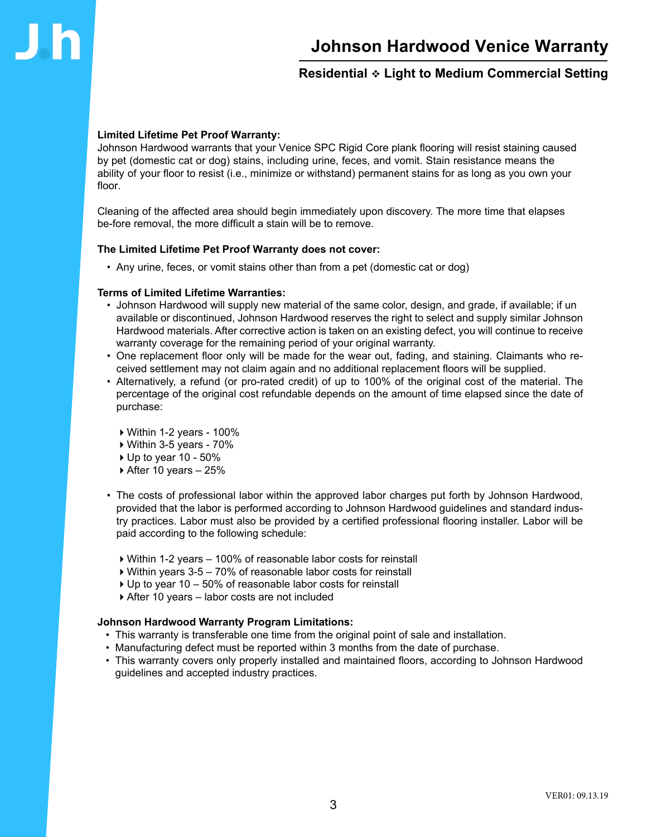

## **Residential Light to Medium Commercial Setting**

#### **Limited Lifetime Pet Proof Warranty:**

Johnson Hardwood warrants that your Venice SPC Rigid Core plank flooring will resist staining caused by pet (domestic cat or dog) stains, including urine, feces, and vomit. Stain resistance means the ability of your floor to resist (i.e., minimize or withstand) permanent stains for as long as you own your floor.

Cleaning of the affected area should begin immediately upon discovery. The more time that elapses be-fore removal, the more difficult a stain will be to remove.

#### **The Limited Lifetime Pet Proof Warranty does not cover:**

• Any urine, feces, or vomit stains other than from a pet (domestic cat or dog)

#### **Terms of Limited Lifetime Warranties:**

- Johnson Hardwood will supply new material of the same color, design, and grade, if available; if un available or discontinued, Johnson Hardwood reserves the right to select and supply similar Johnson Hardwood materials. After corrective action is taken on an existing defect, you will continue to receive warranty coverage for the remaining period of your original warranty.
- One replacement floor only will be made for the wear out, fading, and staining. Claimants who received settlement may not claim again and no additional replacement floors will be supplied.
- Alternatively, a refund (or pro-rated credit) of up to 100% of the original cost of the material. The percentage of the original cost refundable depends on the amount of time elapsed since the date of purchase:
	- $\blacktriangleright$  Within 1-2 years 100%
	- $\triangleright$  Within 3-5 years 70%
	- $\blacktriangleright$  Up to year 10 50%
	- $\blacktriangleright$  After 10 years 25%
- The costs of professional labor within the approved labor charges put forth by Johnson Hardwood, provided that the labor is performed according to Johnson Hardwood guidelines and standard industry practices. Labor must also be provided by a certified professional flooring installer. Labor will be paid according to the following schedule:
	- 4Within 1-2 years 100% of reasonable labor costs for reinstall
	- $\triangleright$  Within years 3-5 70% of reasonable labor costs for reinstall
	- $\triangleright$  Up to year 10 50% of reasonable labor costs for reinstall
	- 4After 10 years labor costs are not included

#### **Johnson Hardwood Warranty Program Limitations:**

- This warranty is transferable one time from the original point of sale and installation.
- Manufacturing defect must be reported within 3 months from the date of purchase.
- This warranty covers only properly installed and maintained floors, according to Johnson Hardwood guidelines and accepted industry practices.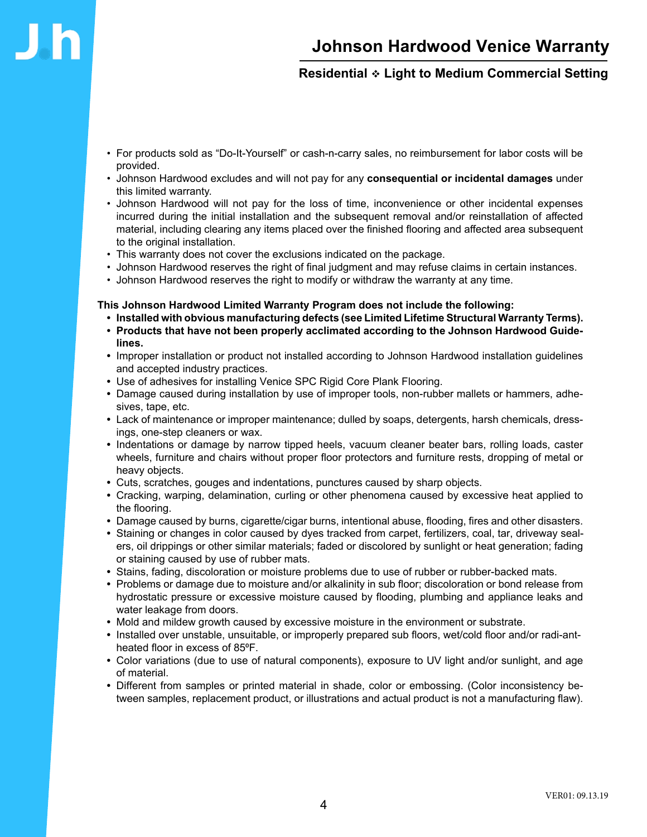## **Residential Light to Medium Commercial Setting**

- For products sold as "Do-It-Yourself" or cash-n-carry sales, no reimbursement for labor costs will be provided.
- Johnson Hardwood excludes and will not pay for any **consequential or incidental damages** under this limited warranty.
- Johnson Hardwood will not pay for the loss of time, inconvenience or other incidental expenses incurred during the initial installation and the subsequent removal and/or reinstallation of affected material, including clearing any items placed over the finished flooring and affected area subsequent to the original installation.
- This warranty does not cover the exclusions indicated on the package.
- Johnson Hardwood reserves the right of final judgment and may refuse claims in certain instances.
- Johnson Hardwood reserves the right to modify or withdraw the warranty at any time.

#### **This Johnson Hardwood Limited Warranty Program does not include the following:**

- **Installed with obvious manufacturing defects (see Limited Lifetime Structural Warranty Terms).**
- **Products that have not been properly acclimated according to the Johnson Hardwood Guidelines.**
- **•** Improper installation or product not installed according to Johnson Hardwood installation guidelines and accepted industry practices.
- **•** Use of adhesives for installing Venice SPC Rigid Core Plank Flooring.
- **•** Damage caused during installation by use of improper tools, non-rubber mallets or hammers, adhesives, tape, etc.
- **•** Lack of maintenance or improper maintenance; dulled by soaps, detergents, harsh chemicals, dressings, one-step cleaners or wax.
- Indentations or damage by narrow tipped heels, vacuum cleaner beater bars, rolling loads, caster wheels, furniture and chairs without proper floor protectors and furniture rests, dropping of metal or heavy objects.
- **•** Cuts, scratches, gouges and indentations, punctures caused by sharp objects.
- **•** Cracking, warping, delamination, curling or other phenomena caused by excessive heat applied to the flooring.
- **•** Damage caused by burns, cigarette/cigar burns, intentional abuse, flooding, fires and other disasters.
- **•** Staining or changes in color caused by dyes tracked from carpet, fertilizers, coal, tar, driveway sealers, oil drippings or other similar materials; faded or discolored by sunlight or heat generation; fading or staining caused by use of rubber mats.
- **•** Stains, fading, discoloration or moisture problems due to use of rubber or rubber-backed mats.
- **•** Problems or damage due to moisture and/or alkalinity in sub floor; discoloration or bond release from hydrostatic pressure or excessive moisture caused by flooding, plumbing and appliance leaks and water leakage from doors.
- **•** Mold and mildew growth caused by excessive moisture in the environment or substrate.
- **•** Installed over unstable, unsuitable, or improperly prepared sub floors, wet/cold floor and/or radi-antheated floor in excess of 85°F.
- **•** Color variations (due to use of natural components), exposure to UV light and/or sunlight, and age of material.
- **•** Different from samples or printed material in shade, color or embossing. (Color inconsistency between samples, replacement product, or illustrations and actual product is not a manufacturing flaw).